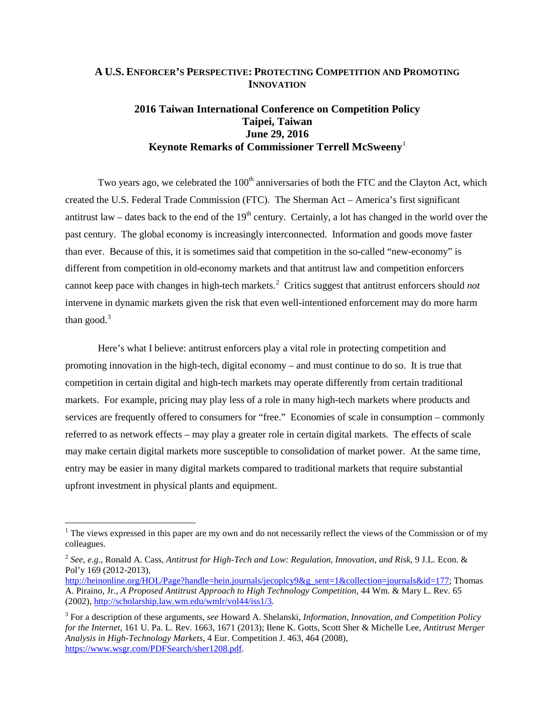## **A U.S. ENFORCER'S PERSPECTIVE: PROTECTING COMPETITION AND PROMOTING INNOVATION**

# **2016 Taiwan International Conference on Competition Policy Taipei, Taiwan June 29, 2016 Keynote Remarks of Commissioner Terrell McSweeny**[1](#page-0-0)

Two years ago, we celebrated the  $100<sup>th</sup>$  anniversaries of both the FTC and the Clayton Act, which created the U.S. Federal Trade Commission (FTC). The Sherman Act – America's first significant antitrust law – dates back to the end of the  $19<sup>th</sup>$  century. Certainly, a lot has changed in the world over the past century. The global economy is increasingly interconnected. Information and goods move faster than ever. Because of this, it is sometimes said that competition in the so-called "new-economy" is different from competition in old-economy markets and that antitrust law and competition enforcers cannot keep pace with changes in high-tech markets.<sup>[2](#page-0-1)</sup> Critics suggest that antitrust enforcers should *not* intervene in dynamic markets given the risk that even well-intentioned enforcement may do more harm than good. $3$ 

Here's what I believe: antitrust enforcers play a vital role in protecting competition and promoting innovation in the high-tech, digital economy – and must continue to do so. It is true that competition in certain digital and high-tech markets may operate differently from certain traditional markets. For example, pricing may play less of a role in many high-tech markets where products and services are frequently offered to consumers for "free." Economies of scale in consumption – commonly referred to as network effects – may play a greater role in certain digital markets. The effects of scale may make certain digital markets more susceptible to consolidation of market power. At the same time, entry may be easier in many digital markets compared to traditional markets that require substantial upfront investment in physical plants and equipment.

<span id="page-0-0"></span><sup>&</sup>lt;sup>1</sup> The views expressed in this paper are my own and do not necessarily reflect the views of the Commission or of my colleagues.

<span id="page-0-1"></span><sup>2</sup> *See, e.g*., Ronald A. Cass*, Antitrust for High-Tech and Low: Regulation, Innovation, and Risk,* 9 J.L. Econ. & Pol'y 169 (2012-2013),

[http://heinonline.org/HOL/Page?handle=hein.journals/jecoplcy9&g\\_sent=1&collection=journals&id=177;](http://heinonline.org/HOL/Page?handle=hein.journals/jecoplcy9&g_sent=1&collection=journals&id=177) Thomas A. Piraino, Jr., *A Proposed Antitrust Approach to High Technology Competition,* 44 Wm. & Mary L. Rev. 65 (2002), <http://scholarship.law.wm.edu/wmlr/vol44/iss1/3>*.*

<span id="page-0-2"></span><sup>3</sup> For a description of these arguments*, see* Howard A. Shelanski, *Information, Innovation, and Competition Policy for the Internet*, 161 U. Pa. L. Rev. 1663, 1671 (2013); Ilene K. Gotts, Scott Sher & Michelle Lee, *Antitrust Merger Analysis in High-Technology Markets*, 4 Eur. Competition J. 463, 464 (2008), [https://www.wsgr.com/PDFSearch/sher1208.pdf.](https://www.wsgr.com/PDFSearch/sher1208.pdf)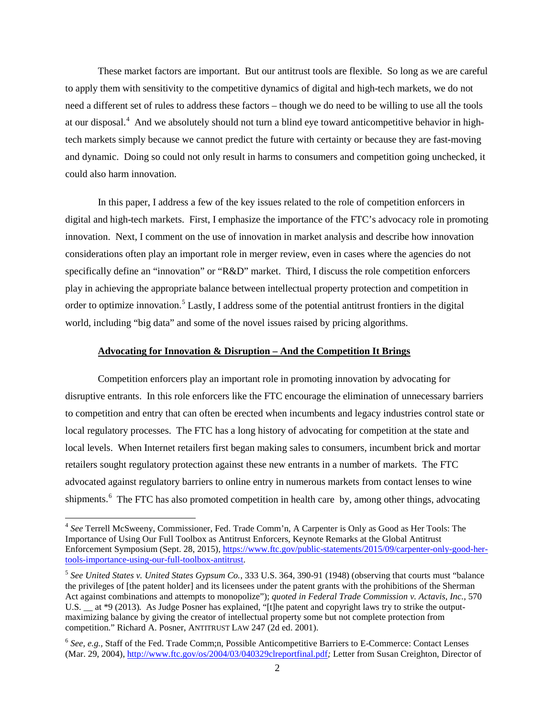These market factors are important. But our antitrust tools are flexible. So long as we are careful to apply them with sensitivity to the competitive dynamics of digital and high-tech markets, we do not need a different set of rules to address these factors – though we do need to be willing to use all the tools at our disposal.<sup>[4](#page-1-0)</sup> And we absolutely should not turn a blind eye toward anticompetitive behavior in hightech markets simply because we cannot predict the future with certainty or because they are fast-moving and dynamic. Doing so could not only result in harms to consumers and competition going unchecked, it could also harm innovation.

In this paper, I address a few of the key issues related to the role of competition enforcers in digital and high-tech markets. First, I emphasize the importance of the FTC's advocacy role in promoting innovation. Next, I comment on the use of innovation in market analysis and describe how innovation considerations often play an important role in merger review, even in cases where the agencies do not specifically define an "innovation" or "R&D" market. Third, I discuss the role competition enforcers play in achieving the appropriate balance between intellectual property protection and competition in order to optimize innovation.<sup>[5](#page-1-1)</sup> Lastly, I address some of the potential antitrust frontiers in the digital world, including "big data" and some of the novel issues raised by pricing algorithms.

### **Advocating for Innovation & Disruption – And the Competition It Brings**

Competition enforcers play an important role in promoting innovation by advocating for disruptive entrants. In this role enforcers like the FTC encourage the elimination of unnecessary barriers to competition and entry that can often be erected when incumbents and legacy industries control state or local regulatory processes. The FTC has a long history of advocating for competition at the state and local levels. When Internet retailers first began making sales to consumers, incumbent brick and mortar retailers sought regulatory protection against these new entrants in a number of markets. The FTC advocated against regulatory barriers to online entry in numerous markets from contact lenses to wine shipments.<sup>[6](#page-1-2)</sup> The FTC has also promoted competition in health care by, among other things, advocating

<span id="page-1-0"></span> <sup>4</sup> *See* Terrell McSweeny, Commissioner, Fed. Trade Comm'n, A Carpenter is Only as Good as Her Tools: The Importance of Using Our Full Toolbox as Antitrust Enforcers, Keynote Remarks at the Global Antitrust Enforcement Symposium (Sept. 28, 2015), [https://www.ftc.gov/public-statements/2015/09/carpenter-only-good-her](https://www.ftc.gov/public-statements/2015/09/carpenter-only-good-her-tools-importance-using-our-full-toolbox-antitrust)[tools-importance-using-our-full-toolbox-antitrust.](https://www.ftc.gov/public-statements/2015/09/carpenter-only-good-her-tools-importance-using-our-full-toolbox-antitrust)

<span id="page-1-1"></span><sup>5</sup> *See United States v. United States Gypsum Co.*, 333 U.S. 364, 390-91 (1948) (observing that courts must "balance the privileges of [the patent holder] and its licensees under the patent grants with the prohibitions of the Sherman Act against combinations and attempts to monopolize"); *quoted in Federal Trade Commission v. Actavis, Inc.*, 570 U.S. \_\_ at \*9 (2013). As Judge Posner has explained, "[t]he patent and copyright laws try to strike the outputmaximizing balance by giving the creator of intellectual property some but not complete protection from competition." Richard A. Posner, ANTITRUST LAW 247 (2d ed. 2001).

<span id="page-1-2"></span><sup>6</sup> *See, e.g.,* Staff of the Fed. Trade Comm;n, Possible Anticompetitive Barriers to E-Commerce: Contact Lenses (Mar. 29, 2004),<http://www.ftc.gov/os/2004/03/040329clreportfinal.pdf>*;* Letter from Susan Creighton, Director of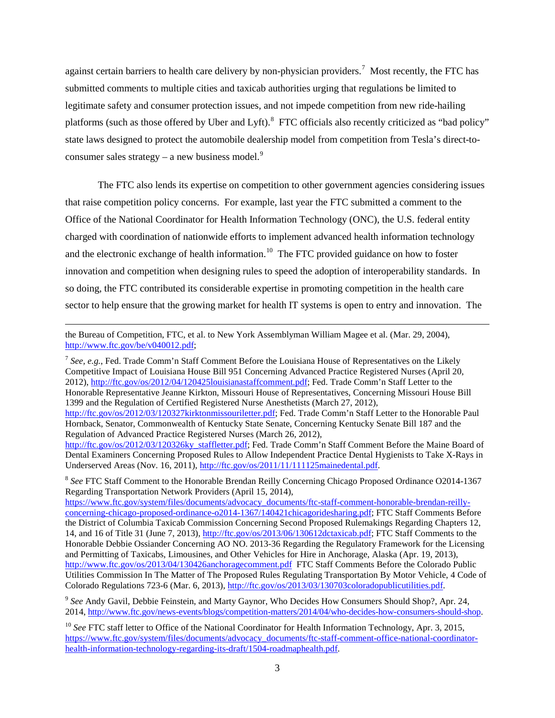against certain barriers to health care delivery by non-physician providers.<sup>[7](#page-2-0)</sup> Most recently, the FTC has submitted comments to multiple cities and taxicab authorities urging that regulations be limited to legitimate safety and consumer protection issues, and not impede competition from new ride-hailing platforms (such as those offered by Uber and Lyft).<sup>[8](#page-2-1)</sup> FTC officials also recently criticized as "bad policy" state laws designed to protect the automobile dealership model from competition from Tesla's direct-toconsumer sales strategy – a new business model. $9$ 

The FTC also lends its expertise on competition to other government agencies considering issues that raise competition policy concerns. For example, last year the FTC submitted a comment to the Office of the National Coordinator for Health Information Technology (ONC), the U.S. federal entity charged with coordination of nationwide efforts to implement advanced health information technology and the electronic exchange of health information.<sup>10</sup> The FTC provided guidance on how to foster innovation and competition when designing rules to speed the adoption of interoperability standards. In so doing, the FTC contributed its considerable expertise in promoting competition in the health care sector to help ensure that the growing market for health IT systems is open to entry and innovation. The

<span id="page-2-0"></span><sup>7</sup> *See, e.g.*, Fed. Trade Comm'n Staff Comment Before the Louisiana House of Representatives on the Likely Competitive Impact of Louisiana House Bill 951 Concerning Advanced Practice Registered Nurses (April 20, 2012), [http://ftc.gov/os/2012/04/120425louisianastaffcomment.pdf;](http://ftc.gov/os/2012/04/120425louisianastaffcomment.pdf) Fed. Trade Comm'n Staff Letter to the Honorable Representative Jeanne Kirkton, Missouri House of Representatives, Concerning Missouri House Bill 1399 and the Regulation of Certified Registered Nurse Anesthetists (March 27, 2012), [http://ftc.gov/os/2012/03/120327kirktonmissouriletter.pdf;](http://ftc.gov/os/2012/03/120327kirktonmissouriletter.pdf) Fed. Trade Comm'n Staff Letter to the Honorable Paul Hornback, Senator, Commonwealth of Kentucky State Senate, Concerning Kentucky Senate Bill 187 and the Regulation of Advanced Practice Registered Nurses (March 26, 2012), [http://ftc.gov/os/2012/03/120326ky\\_staffletter.pdf;](http://ftc.gov/os/2012/03/120326ky_staffletter.pdf) Fed. Trade Comm'n Staff Comment Before the Maine Board of Dental Examiners Concerning Proposed Rules to Allow Independent Practice Dental Hygienists to Take X-Rays in Underserved Areas (Nov. 16, 2011), [http://ftc.gov/os/2011/11/111125mainedental.pdf.](http://ftc.gov/os/2011/11/111125mainedental.pdf)

<span id="page-2-1"></span><sup>8</sup> See FTC Staff Comment to the Honorable Brendan Reilly Concerning Chicago Proposed Ordinance O2014-1367 Regarding Transportation Network Providers (April 15, 2014),

[https://www.ftc.gov/system/files/documents/advocacy\\_documents/ftc-staff-comment-honorable-brendan-reilly](https://www.ftc.gov/system/files/documents/advocacy_documents/ftc-staff-comment-honorable-brendan-reilly-concerning-chicago-proposed-ordinance-o2014-1367/140421chicagoridesharing.pdf)[concerning-chicago-proposed-ordinance-o2014-1367/140421chicagoridesharing.pdf;](https://www.ftc.gov/system/files/documents/advocacy_documents/ftc-staff-comment-honorable-brendan-reilly-concerning-chicago-proposed-ordinance-o2014-1367/140421chicagoridesharing.pdf) FTC Staff Comments Before the District of Columbia Taxicab Commission Concerning Second Proposed Rulemakings Regarding Chapters 12, 14, and 16 of Title 31 (June 7, 2013)[, http://ftc.gov/os/2013/06/130612dctaxicab.pdf;](http://ftc.gov/os/2013/06/130612dctaxicab.pdf) FTC Staff Comments to the Honorable Debbie Ossiander Concerning AO NO. 2013-36 Regarding the Regulatory Framework for the Licensing and Permitting of Taxicabs, Limousines, and Other Vehicles for Hire in Anchorage, Alaska (Apr. 19, 2013), <http://www.ftc.gov/os/2013/04/130426anchoragecomment.pdf>FTC Staff Comments Before the Colorado Public Utilities Commission In The Matter of The Proposed Rules Regulating Transportation By Motor Vehicle, 4 Code of Colorado Regulations 723-6 (Mar. 6, 2013), [http://ftc.gov/os/2013/03/130703coloradopublicutilities.pdf.](http://ftc.gov/os/2013/03/130703coloradopublicutilities.pdf)

<span id="page-2-2"></span><sup>9</sup> *See* Andy Gavil, Debbie Feinstein, and Marty Gaynor, Who Decides How Consumers Should Shop?, Apr. 24, 2014, [http://www.ftc.gov/news-events/blogs/competition-matters/2014/04/who-decides-how-consumers-should-shop.](http://www.ftc.gov/news-events/blogs/competition-matters/2014/04/who-decides-how-consumers-should-shop)

the Bureau of Competition, FTC, et al. to New York Assemblyman William Magee et al. (Mar. 29, 2004), [http://www.ftc.gov/be/v040012.pdf;](http://www.ftc.gov/be/v040012.pdf)

<span id="page-2-3"></span><sup>&</sup>lt;sup>10</sup> See FTC staff letter to Office of the National Coordinator for Health Information Technology, Apr. 3, 2015, [https://www.ftc.gov/system/files/documents/advocacy\\_documents/ftc-staff-comment-office-national-coordinator](https://www.ftc.gov/system/files/documents/advocacy_documents/ftc-staff-comment-office-national-coordinator-health-information-technology-regarding-its-draft/1504-roadmaphealth.pdf)[health-information-technology-regarding-its-draft/1504-roadmaphealth.pdf.](https://www.ftc.gov/system/files/documents/advocacy_documents/ftc-staff-comment-office-national-coordinator-health-information-technology-regarding-its-draft/1504-roadmaphealth.pdf)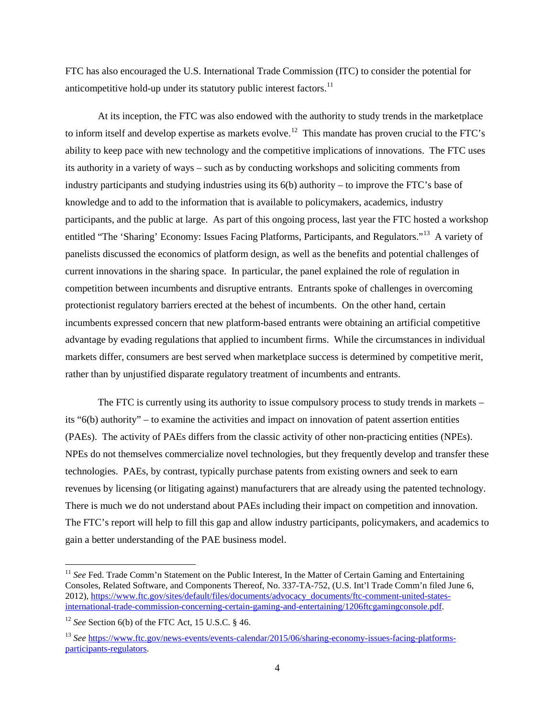FTC has also encouraged the U.S. International Trade Commission (ITC) to consider the potential for anticompetitive hold-up under its statutory public interest factors.<sup>[11](#page-3-0)</sup>

At its inception, the FTC was also endowed with the authority to study trends in the marketplace to inform itself and develop expertise as markets evolve.<sup>[12](#page-3-1)</sup> This mandate has proven crucial to the FTC's ability to keep pace with new technology and the competitive implications of innovations. The FTC uses its authority in a variety of ways – such as by conducting workshops and soliciting comments from industry participants and studying industries using its  $6(b)$  authority – to improve the FTC's base of knowledge and to add to the information that is available to policymakers, academics, industry participants, and the public at large. As part of this ongoing process, last year the FTC hosted a workshop entitled "The 'Sharing' Economy: Issues Facing Platforms, Participants, and Regulators."[13](#page-3-2) A variety of panelists discussed the economics of platform design, as well as the benefits and potential challenges of current innovations in the sharing space. In particular, the panel explained the role of regulation in competition between incumbents and disruptive entrants. Entrants spoke of challenges in overcoming protectionist regulatory barriers erected at the behest of incumbents. On the other hand, certain incumbents expressed concern that new platform-based entrants were obtaining an artificial competitive advantage by evading regulations that applied to incumbent firms. While the circumstances in individual markets differ, consumers are best served when marketplace success is determined by competitive merit, rather than by unjustified disparate regulatory treatment of incumbents and entrants.

The FTC is currently using its authority to issue compulsory process to study trends in markets – its "6(b) authority" – to examine the activities and impact on innovation of patent assertion entities (PAEs). The activity of PAEs differs from the classic activity of other non-practicing entities (NPEs). NPEs do not themselves commercialize novel technologies, but they frequently develop and transfer these technologies. PAEs, by contrast, typically purchase patents from existing owners and seek to earn revenues by licensing (or litigating against) manufacturers that are already using the patented technology. There is much we do not understand about PAEs including their impact on competition and innovation. The FTC's report will help to fill this gap and allow industry participants, policymakers, and academics to gain a better understanding of the PAE business model.

<span id="page-3-0"></span><sup>&</sup>lt;sup>11</sup> See Fed. Trade Comm'n Statement on the Public Interest, In the Matter of Certain Gaming and Entertaining Consoles, Related Software, and Components Thereof, No. 337-TA-752, (U.S. Int'l Trade Comm'n filed June 6, 2012), [https://www.ftc.gov/sites/default/files/documents/advocacy\\_documents/ftc-comment-united-states](https://www.ftc.gov/sites/default/files/documents/advocacy_documents/ftc-comment-united-states-international-trade-commission-concerning-certain-gaming-and-entertaining/1206ftcgamingconsole.pdf)[international-trade-commission-concerning-certain-gaming-and-entertaining/1206ftcgamingconsole.pdf.](https://www.ftc.gov/sites/default/files/documents/advocacy_documents/ftc-comment-united-states-international-trade-commission-concerning-certain-gaming-and-entertaining/1206ftcgamingconsole.pdf)

<span id="page-3-1"></span><sup>12</sup> *See* Section 6(b) of the FTC Act, 15 U.S.C. § 46.

<span id="page-3-2"></span><sup>13</sup> *See* [https://www.ftc.gov/news-events/events-calendar/2015/06/sharing-economy-issues-facing-platforms](https://www.ftc.gov/news-events/events-calendar/2015/06/sharing-economy-issues-facing-platforms-participants-regulators)[participants-regulators.](https://www.ftc.gov/news-events/events-calendar/2015/06/sharing-economy-issues-facing-platforms-participants-regulators)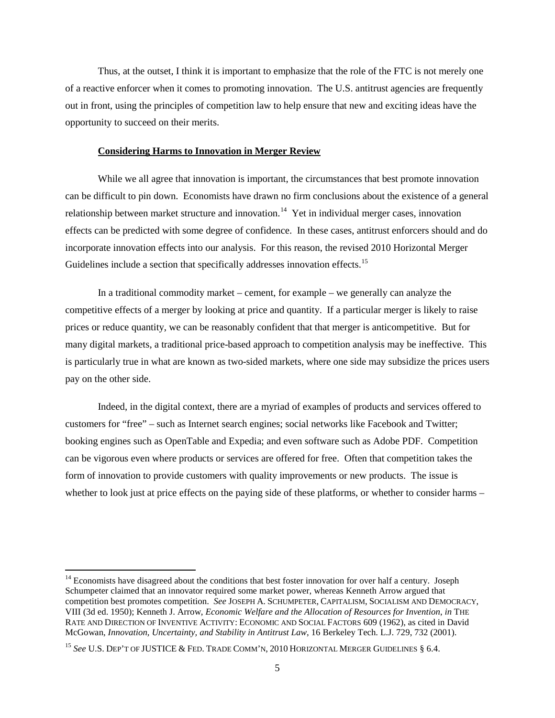Thus, at the outset, I think it is important to emphasize that the role of the FTC is not merely one of a reactive enforcer when it comes to promoting innovation. The U.S. antitrust agencies are frequently out in front, using the principles of competition law to help ensure that new and exciting ideas have the opportunity to succeed on their merits.

#### **Considering Harms to Innovation in Merger Review**

While we all agree that innovation is important, the circumstances that best promote innovation can be difficult to pin down. Economists have drawn no firm conclusions about the existence of a general relationship between market structure and innovation.<sup>14</sup> Yet in individual merger cases, innovation effects can be predicted with some degree of confidence. In these cases, antitrust enforcers should and do incorporate innovation effects into our analysis. For this reason, the revised 2010 Horizontal Merger Guidelines include a section that specifically addresses innovation effects.<sup>15</sup>

In a traditional commodity market – cement, for example – we generally can analyze the competitive effects of a merger by looking at price and quantity. If a particular merger is likely to raise prices or reduce quantity, we can be reasonably confident that that merger is anticompetitive. But for many digital markets, a traditional price-based approach to competition analysis may be ineffective. This is particularly true in what are known as two-sided markets, where one side may subsidize the prices users pay on the other side.

Indeed, in the digital context, there are a myriad of examples of products and services offered to customers for "free" – such as Internet search engines; social networks like Facebook and Twitter; booking engines such as OpenTable and Expedia; and even software such as Adobe PDF. Competition can be vigorous even where products or services are offered for free. Often that competition takes the form of innovation to provide customers with quality improvements or new products. The issue is whether to look just at price effects on the paying side of these platforms, or whether to consider harms –

<span id="page-4-0"></span><sup>&</sup>lt;sup>14</sup> Economists have disagreed about the conditions that best foster innovation for over half a century. Joseph Schumpeter claimed that an innovator required some market power, whereas Kenneth Arrow argued that competition best promotes competition. *See* JOSEPH A. SCHUMPETER, CAPITALISM, SOCIALISM AND DEMOCRACY, VIII (3d ed. 1950); Kenneth J. Arrow, *Economic Welfare and the Allocation of Resources for Invention*, *in* THE RATE AND DIRECTION OF INVENTIVE ACTIVITY: ECONOMIC AND SOCIAL FACTORS 609 (1962), as cited in David McGowan, *Innovation, Uncertainty, and Stability in Antitrust Law*, 16 Berkeley Tech. L.J. 729, 732 (2001).

<span id="page-4-1"></span><sup>&</sup>lt;sup>15</sup> See U.S. DEP'T OF JUSTICE & FED. TRADE COMM'N, 2010 HORIZONTAL MERGER GUIDELINES § 6.4.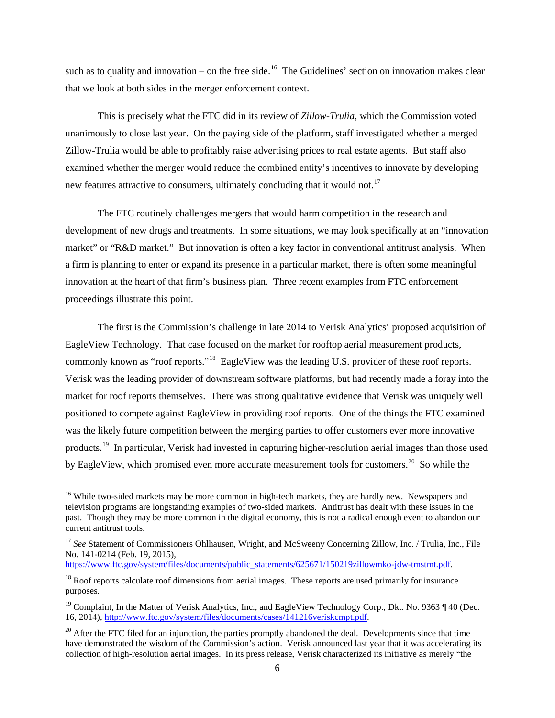such as to quality and innovation – on the free side.<sup>16</sup> The Guidelines' section on innovation makes clear that we look at both sides in the merger enforcement context.

This is precisely what the FTC did in its review of *Zillow-Trulia*, which the Commission voted unanimously to close last year. On the paying side of the platform, staff investigated whether a merged Zillow-Trulia would be able to profitably raise advertising prices to real estate agents. But staff also examined whether the merger would reduce the combined entity's incentives to innovate by developing new features attractive to consumers, ultimately concluding that it would not.<sup>[17](#page-5-1)</sup>

The FTC routinely challenges mergers that would harm competition in the research and development of new drugs and treatments. In some situations, we may look specifically at an "innovation market" or "R&D market." But innovation is often a key factor in conventional antitrust analysis. When a firm is planning to enter or expand its presence in a particular market, there is often some meaningful innovation at the heart of that firm's business plan. Three recent examples from FTC enforcement proceedings illustrate this point.

The first is the Commission's challenge in late 2014 to Verisk Analytics' proposed acquisition of EagleView Technology. That case focused on the market for rooftop aerial measurement products, commonly known as "roof reports."<sup>18</sup> EagleView was the leading U.S. provider of these roof reports. Verisk was the leading provider of downstream software platforms, but had recently made a foray into the market for roof reports themselves. There was strong qualitative evidence that Verisk was uniquely well positioned to compete against EagleView in providing roof reports. One of the things the FTC examined was the likely future competition between the merging parties to offer customers ever more innovative products.[19](#page-5-3) In particular, Verisk had invested in capturing higher-resolution aerial images than those used by EagleView, which promised even more accurate measurement tools for customers.<sup>20</sup> So while the

[https://www.ftc.gov/system/files/documents/public\\_statements/625671/150219zillowmko-jdw-tmstmt.pdf.](https://www.ftc.gov/system/files/documents/public_statements/625671/150219zillowmko-jdw-tmstmt.pdf)

<span id="page-5-0"></span><sup>&</sup>lt;sup>16</sup> While two-sided markets may be more common in high-tech markets, they are hardly new. Newspapers and television programs are longstanding examples of two-sided markets. Antitrust has dealt with these issues in the past. Though they may be more common in the digital economy, this is not a radical enough event to abandon our current antitrust tools.

<span id="page-5-1"></span><sup>&</sup>lt;sup>17</sup> See Statement of Commissioners Ohlhausen, Wright, and McSweeny Concerning Zillow, Inc. / Trulia, Inc., File No. 141-0214 (Feb. 19, 2015),

<span id="page-5-2"></span> $18$  Roof reports calculate roof dimensions from aerial images. These reports are used primarily for insurance purposes.

<span id="page-5-3"></span><sup>&</sup>lt;sup>19</sup> Complaint, In the Matter of Verisk Analytics, Inc., and EagleView Technology Corp., Dkt. No. 9363  $\P$  40 (Dec. 16, 2014), [http://www.ftc.gov/system/files/documents/cases/141216veriskcmpt.pdf.](http://www.ftc.gov/system/files/documents/cases/141216veriskcmpt.pdf)

<span id="page-5-4"></span><sup>&</sup>lt;sup>20</sup> After the FTC filed for an injunction, the parties promptly abandoned the deal. Developments since that time have demonstrated the wisdom of the Commission's action. Verisk announced last year that it was accelerating its collection of high-resolution aerial images. In its press release, Verisk characterized its initiative as merely "the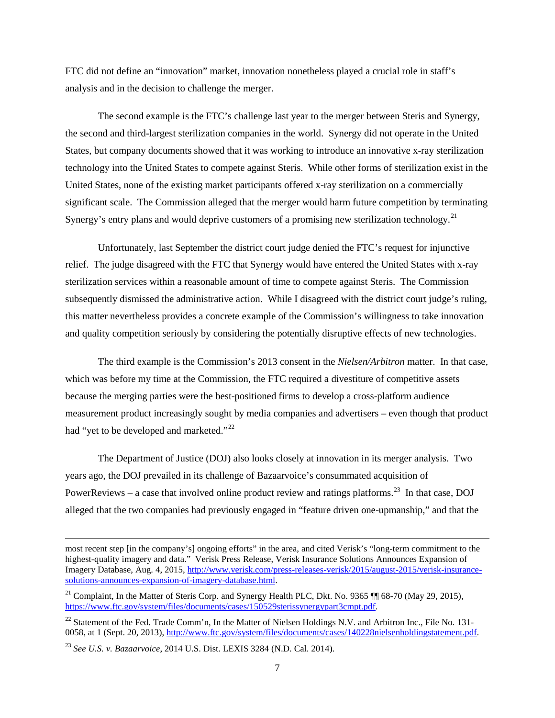FTC did not define an "innovation" market, innovation nonetheless played a crucial role in staff's analysis and in the decision to challenge the merger.

The second example is the FTC's challenge last year to the merger between Steris and Synergy, the second and third-largest sterilization companies in the world. Synergy did not operate in the United States, but company documents showed that it was working to introduce an innovative x-ray sterilization technology into the United States to compete against Steris. While other forms of sterilization exist in the United States, none of the existing market participants offered x-ray sterilization on a commercially significant scale. The Commission alleged that the merger would harm future competition by terminating Synergy's entry plans and would deprive customers of a promising new sterilization technology.<sup>[21](#page-6-0)</sup>

Unfortunately, last September the district court judge denied the FTC's request for injunctive relief. The judge disagreed with the FTC that Synergy would have entered the United States with x-ray sterilization services within a reasonable amount of time to compete against Steris. The Commission subsequently dismissed the administrative action. While I disagreed with the district court judge's ruling, this matter nevertheless provides a concrete example of the Commission's willingness to take innovation and quality competition seriously by considering the potentially disruptive effects of new technologies.

The third example is the Commission's 2013 consent in the *Nielsen/Arbitron* matter. In that case, which was before my time at the Commission, the FTC required a divestiture of competitive assets because the merging parties were the best-positioned firms to develop a cross-platform audience measurement product increasingly sought by media companies and advertisers – even though that product had "yet to be developed and marketed."<sup>[22](#page-6-1)</sup>

The Department of Justice (DOJ) also looks closely at innovation in its merger analysis. Two years ago, the DOJ prevailed in its challenge of Bazaarvoice's consummated acquisition of PowerReviews – a case that involved online product review and ratings platforms.<sup>23</sup> In that case, DOJ alleged that the two companies had previously engaged in "feature driven one-upmanship," and that the

most recent step [in the company's] ongoing efforts" in the area, and cited Verisk's "long-term commitment to the highest-quality imagery and data." Verisk Press Release, Verisk Insurance Solutions Announces Expansion of Imagery Database, Aug. 4, 2015[, http://www.verisk.com/press-releases-verisk/2015/august-2015/verisk-insurance](http://www.verisk.com/press-releases-verisk/2015/august-2015/verisk-insurance-solutions-announces-expansion-of-imagery-database.html)[solutions-announces-expansion-of-imagery-database.html.](http://www.verisk.com/press-releases-verisk/2015/august-2015/verisk-insurance-solutions-announces-expansion-of-imagery-database.html)

<span id="page-6-0"></span><sup>&</sup>lt;sup>21</sup> Complaint, In the Matter of Steris Corp. and Synergy Health PLC, Dkt. No. 9365  $\P$  $\parallel$  68-70 (May 29, 2015), [https://www.ftc.gov/system/files/documents/cases/150529sterissynergypart3cmpt.pdf.](https://www.ftc.gov/system/files/documents/cases/150529sterissynergypart3cmpt.pdf) 

<span id="page-6-1"></span><sup>&</sup>lt;sup>22</sup> Statement of the Fed. Trade Comm'n, In the Matter of Nielsen Holdings N.V. and Arbitron Inc., File No. 131-0058, at 1 (Sept. 20, 2013)[, http://www.ftc.gov/system/files/documents/cases/140228nielsenholdingstatement.pdf.](http://www.ftc.gov/system/files/documents/cases/140228nielsenholdingstatement.pdf)

<span id="page-6-2"></span><sup>23</sup> *See U.S. v. Bazaarvoice*, 2014 U.S. Dist. LEXIS 3284 (N.D. Cal. 2014).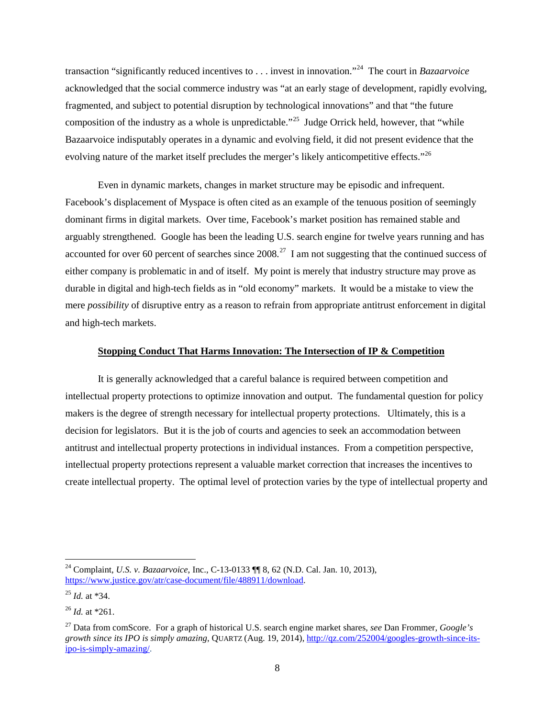transaction "significantly reduced incentives to . . . invest in innovation."[24](#page-7-0) The court in *Bazaarvoice* acknowledged that the social commerce industry was "at an early stage of development, rapidly evolving, fragmented, and subject to potential disruption by technological innovations" and that "the future composition of the industry as a whole is unpredictable."<sup>[25](#page-7-1)</sup> Judge Orrick held, however, that "while" Bazaarvoice indisputably operates in a dynamic and evolving field, it did not present evidence that the evolving nature of the market itself precludes the merger's likely anticompetitive effects."<sup>[26](#page-7-2)</sup>

Even in dynamic markets, changes in market structure may be episodic and infrequent. Facebook's displacement of Myspace is often cited as an example of the tenuous position of seemingly dominant firms in digital markets. Over time, Facebook's market position has remained stable and arguably strengthened. Google has been the leading U.S. search engine for twelve years running and has accounted for over 60 percent of searches since  $2008<sup>27</sup>$  I am not suggesting that the continued success of either company is problematic in and of itself. My point is merely that industry structure may prove as durable in digital and high-tech fields as in "old economy" markets. It would be a mistake to view the mere *possibility* of disruptive entry as a reason to refrain from appropriate antitrust enforcement in digital and high-tech markets.

### **Stopping Conduct That Harms Innovation: The Intersection of IP & Competition**

It is generally acknowledged that a careful balance is required between competition and intellectual property protections to optimize innovation and output. The fundamental question for policy makers is the degree of strength necessary for intellectual property protections. Ultimately, this is a decision for legislators. But it is the job of courts and agencies to seek an accommodation between antitrust and intellectual property protections in individual instances. From a competition perspective, intellectual property protections represent a valuable market correction that increases the incentives to create intellectual property. The optimal level of protection varies by the type of intellectual property and

<span id="page-7-0"></span> <sup>24</sup> Complaint, *U.S. v. Bazaarvoice*, Inc., C-13-0133 ¶¶ 8, 62 (N.D. Cal. Jan. 10, 2013), [https://www.justice.gov/atr/case-document/file/488911/download.](https://www.justice.gov/atr/case-document/file/488911/download)

<span id="page-7-1"></span><sup>25</sup> *Id.* at \*34.

<span id="page-7-2"></span><sup>26</sup> *Id.* at \*261.

<span id="page-7-3"></span><sup>27</sup> Data from comScore. For a graph of historical U.S. search engine market shares, *see* Dan Frommer, *Google's growth since its IPO is simply amazing*, QUARTZ (Aug. 19, 2014)[, http://qz.com/252004/googles-growth-since-its](http://qz.com/252004/googles-growth-since-its-ipo-is-simply-amazing/)[ipo-is-simply-amazing/.](http://qz.com/252004/googles-growth-since-its-ipo-is-simply-amazing/)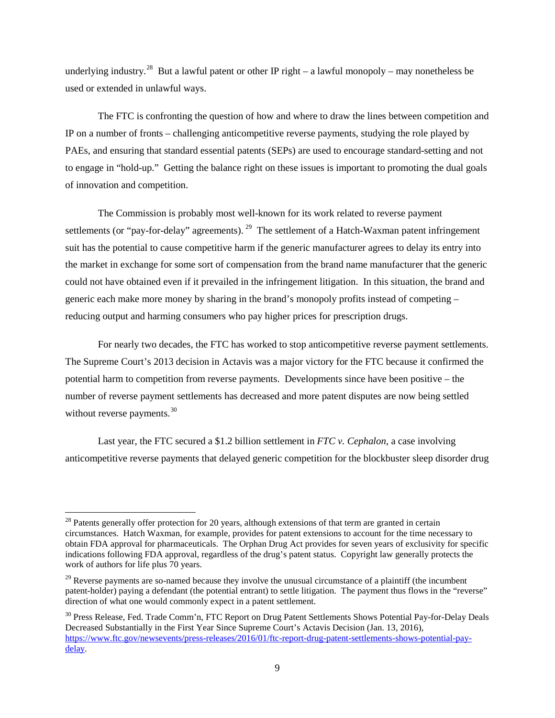underlying industry.<sup>28</sup> But a lawful patent or other IP right – a lawful monopoly – may nonetheless be used or extended in unlawful ways.

The FTC is confronting the question of how and where to draw the lines between competition and IP on a number of fronts – challenging anticompetitive reverse payments, studying the role played by PAEs, and ensuring that standard essential patents (SEPs) are used to encourage standard-setting and not to engage in "hold-up." Getting the balance right on these issues is important to promoting the dual goals of innovation and competition.

The Commission is probably most well-known for its work related to reverse payment settlements (or "pay-for-delay" agreements). <sup>29</sup> The settlement of a Hatch-Waxman patent infringement suit has the potential to cause competitive harm if the generic manufacturer agrees to delay its entry into the market in exchange for some sort of compensation from the brand name manufacturer that the generic could not have obtained even if it prevailed in the infringement litigation. In this situation, the brand and generic each make more money by sharing in the brand's monopoly profits instead of competing – reducing output and harming consumers who pay higher prices for prescription drugs.

For nearly two decades, the FTC has worked to stop anticompetitive reverse payment settlements. The Supreme Court's 2013 decision in Actavis was a major victory for the FTC because it confirmed the potential harm to competition from reverse payments. Developments since have been positive – the number of reverse payment settlements has decreased and more patent disputes are now being settled without reverse payments.<sup>[30](#page-8-2)</sup>

Last year, the FTC secured a \$1.2 billion settlement in *FTC v. Cephalon*, a case involving anticompetitive reverse payments that delayed generic competition for the blockbuster sleep disorder drug

<span id="page-8-0"></span> $28$  Patents generally offer protection for 20 years, although extensions of that term are granted in certain circumstances. Hatch Waxman, for example, provides for patent extensions to account for the time necessary to obtain FDA approval for pharmaceuticals. The Orphan Drug Act provides for seven years of exclusivity for specific indications following FDA approval, regardless of the drug's patent status. Copyright law generally protects the work of authors for life plus 70 years.

<span id="page-8-1"></span> $29$  Reverse payments are so-named because they involve the unusual circumstance of a plaintiff (the incumbent patent-holder) paying a defendant (the potential entrant) to settle litigation. The payment thus flows in the "reverse" direction of what one would commonly expect in a patent settlement.

<span id="page-8-2"></span><sup>&</sup>lt;sup>30</sup> Press Release, Fed. Trade Comm'n, FTC Report on Drug Patent Settlements Shows Potential Pay-for-Delay Deals Decreased Substantially in the First Year Since Supreme Court's Actavis Decision (Jan. 13, 2016), [https://www.ftc.gov/newsevents/press-releases/2016/01/ftc-report-drug-patent-settlements-shows-potential-pay](https://www.ftc.gov/newsevents/press-releases/2016/01/ftc-report-drug-patent-settlements-shows-potential-pay-delay)[delay.](https://www.ftc.gov/newsevents/press-releases/2016/01/ftc-report-drug-patent-settlements-shows-potential-pay-delay)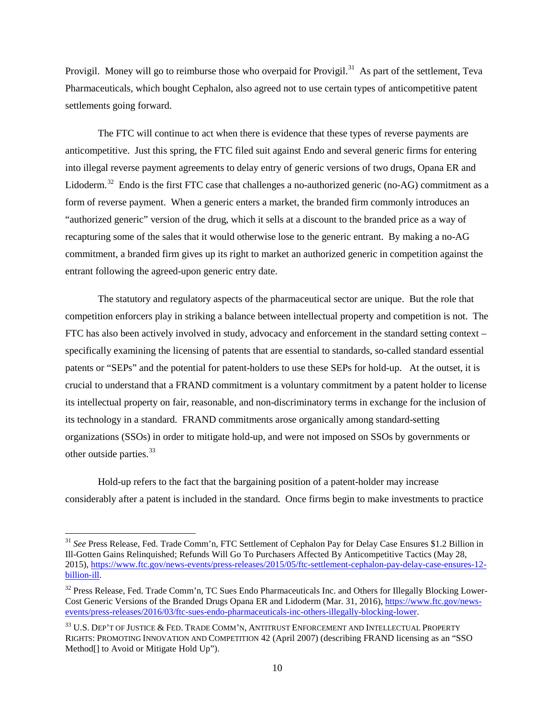Provigil. Money will go to reimburse those who overpaid for Provigil.<sup>[31](#page-9-0)</sup> As part of the settlement, Teva Pharmaceuticals, which bought Cephalon, also agreed not to use certain types of anticompetitive patent settlements going forward.

The FTC will continue to act when there is evidence that these types of reverse payments are anticompetitive. Just this spring, the FTC filed suit against Endo and several generic firms for entering into illegal reverse payment agreements to delay entry of generic versions of two drugs, Opana ER and Lidoderm.<sup>32</sup> Endo is the first FTC case that challenges a no-authorized generic (no-AG) commitment as a form of reverse payment. When a generic enters a market, the branded firm commonly introduces an "authorized generic" version of the drug, which it sells at a discount to the branded price as a way of recapturing some of the sales that it would otherwise lose to the generic entrant. By making a no-AG commitment, a branded firm gives up its right to market an authorized generic in competition against the entrant following the agreed-upon generic entry date.

The statutory and regulatory aspects of the pharmaceutical sector are unique. But the role that competition enforcers play in striking a balance between intellectual property and competition is not. The FTC has also been actively involved in study, advocacy and enforcement in the standard setting context – specifically examining the licensing of patents that are essential to standards, so-called standard essential patents or "SEPs" and the potential for patent-holders to use these SEPs for hold-up. At the outset, it is crucial to understand that a FRAND commitment is a voluntary commitment by a patent holder to license its intellectual property on fair, reasonable, and non-discriminatory terms in exchange for the inclusion of its technology in a standard. FRAND commitments arose organically among standard-setting organizations (SSOs) in order to mitigate hold-up, and were not imposed on SSOs by governments or other outside parties.<sup>[33](#page-9-2)</sup>

Hold-up refers to the fact that the bargaining position of a patent-holder may increase considerably after a patent is included in the standard. Once firms begin to make investments to practice

<span id="page-9-0"></span> <sup>31</sup> *See* Press Release, Fed. Trade Comm'n, FTC Settlement of Cephalon Pay for Delay Case Ensures \$1.2 Billion in Ill-Gotten Gains Relinquished; Refunds Will Go To Purchasers Affected By Anticompetitive Tactics (May 28, 2015), [https://www.ftc.gov/news-events/press-releases/2015/05/ftc-settlement-cephalon-pay-delay-case-ensures-12](https://www.ftc.gov/news-events/press-releases/2015/05/ftc-settlement-cephalon-pay-delay-case-ensures-12-billion-ill) [billion-ill.](https://www.ftc.gov/news-events/press-releases/2015/05/ftc-settlement-cephalon-pay-delay-case-ensures-12-billion-ill)

<span id="page-9-1"></span><sup>&</sup>lt;sup>32</sup> Press Release, Fed. Trade Comm'n, TC Sues Endo Pharmaceuticals Inc. and Others for Illegally Blocking Lower-Cost Generic Versions of the Branded Drugs Opana ER and Lidoderm (Mar. 31, 2016), [https://www.ftc.gov/news](https://www.ftc.gov/news-events/press-releases/2016/03/ftc-sues-endo-pharmaceuticals-inc-others-illegally-blocking-lower)[events/press-releases/2016/03/ftc-sues-endo-pharmaceuticals-inc-others-illegally-blocking-lower.](https://www.ftc.gov/news-events/press-releases/2016/03/ftc-sues-endo-pharmaceuticals-inc-others-illegally-blocking-lower)

<span id="page-9-2"></span> $^{33}$  U.S. Dep't of Justice & Fed. Trade Comm'n, Antitrust Enforcement and Intellectual Property RIGHTS: PROMOTING INNOVATION AND COMPETITION 42 (April 2007) (describing FRAND licensing as an "SSO Method[] to Avoid or Mitigate Hold Up").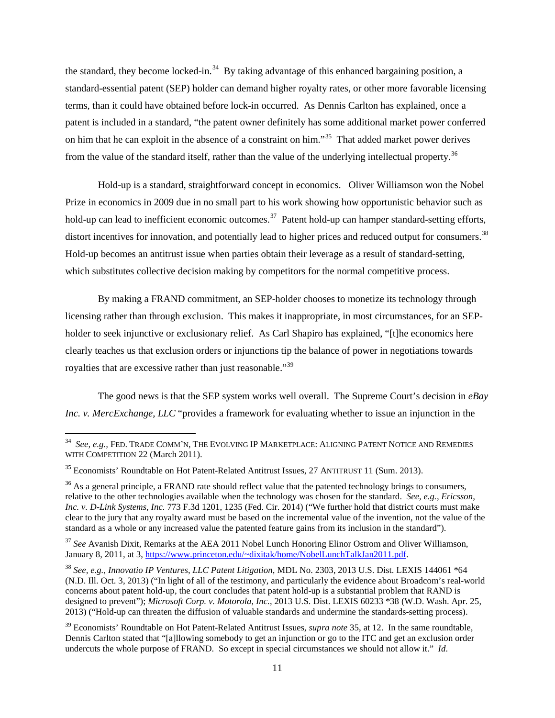the standard, they become locked-in.<sup>[34](#page-10-0)</sup> By taking advantage of this enhanced bargaining position, a standard-essential patent (SEP) holder can demand higher royalty rates, or other more favorable licensing terms, than it could have obtained before lock-in occurred. As Dennis Carlton has explained, once a patent is included in a standard, "the patent owner definitely has some additional market power conferred on him that he can exploit in the absence of a constraint on him."<sup>[35](#page-10-1)</sup> That added market power derives from the value of the standard itself, rather than the value of the underlying intellectual property.<sup>[36](#page-10-2)</sup>

Hold-up is a standard, straightforward concept in economics. Oliver Williamson won the Nobel Prize in economics in 2009 due in no small part to his work showing how opportunistic behavior such as hold-up can lead to inefficient economic outcomes.<sup>[37](#page-10-3)</sup> Patent hold-up can hamper standard-setting efforts, distort incentives for innovation, and potentially lead to higher prices and reduced output for consumers.<sup>38</sup> Hold-up becomes an antitrust issue when parties obtain their leverage as a result of standard-setting, which substitutes collective decision making by competitors for the normal competitive process.

By making a FRAND commitment, an SEP-holder chooses to monetize its technology through licensing rather than through exclusion. This makes it inappropriate, in most circumstances, for an SEPholder to seek injunctive or exclusionary relief. As Carl Shapiro has explained, "[t]he economics here clearly teaches us that exclusion orders or injunctions tip the balance of power in negotiations towards royalties that are excessive rather than just reasonable."[39](#page-10-5)

The good news is that the SEP system works well overall. The Supreme Court's decision in *eBay Inc. v. MercExchange, LLC* "provides a framework for evaluating whether to issue an injunction in the

<span id="page-10-3"></span><sup>37</sup> *See* Avanish Dixit, Remarks at the AEA 2011 Nobel Lunch Honoring Elinor Ostrom and Oliver Williamson, January 8, 2011, at 3, [https://www.princeton.edu/~dixitak/home/NobelLunchTalkJan2011.pdf.](https://www.princeton.edu/%7Edixitak/home/NobelLunchTalkJan2011.pdf)

<span id="page-10-0"></span> <sup>34</sup> *See, e.g.,* FED. TRADE COMM'N, THE EVOLVING IP MARKETPLACE: ALIGNING PATENT NOTICE AND REMEDIES WITH COMPETITION 22 (March 2011).

<span id="page-10-1"></span><sup>&</sup>lt;sup>35</sup> Economists' Roundtable on Hot Patent-Related Antitrust Issues, 27 ANTITRUST 11 (Sum. 2013).

<span id="page-10-2"></span><sup>&</sup>lt;sup>36</sup> As a general principle, a FRAND rate should reflect value that the patented technology brings to consumers, relative to the other technologies available when the technology was chosen for the standard. *See, e.g., Ericsson, Inc. v. D-Link Systems, Inc.* 773 F.3d 1201, 1235 (Fed. Cir. 2014) ("We further hold that district courts must make clear to the jury that any royalty award must be based on the incremental value of the invention, not the value of the standard as a whole or any increased value the patented feature gains from its inclusion in the standard").

<span id="page-10-4"></span><sup>38</sup> *See, e.g., Innovatio IP Ventures, LLC Patent Litigation*, MDL No. 2303, 2013 U.S. Dist. LEXIS 144061 \*64 (N.D. Ill. Oct. 3, 2013) ("In light of all of the testimony, and particularly the evidence about Broadcom's real-world concerns about patent hold-up, the court concludes that patent hold-up is a substantial problem that RAND is designed to prevent"); *Microsoft Corp. v. Motorola, Inc.*, 2013 U.S. Dist. LEXIS 60233 \*38 (W.D. Wash. Apr. 25, 2013) ("Hold-up can threaten the diffusion of valuable standards and undermine the standards-setting process).

<span id="page-10-5"></span><sup>39</sup> Economists' Roundtable on Hot Patent-Related Antitrust Issues, *supra note* 35, at 12. In the same roundtable, Dennis Carlton stated that "[a]llowing somebody to get an injunction or go to the ITC and get an exclusion order undercuts the whole purpose of FRAND. So except in special circumstances we should not allow it." *Id*.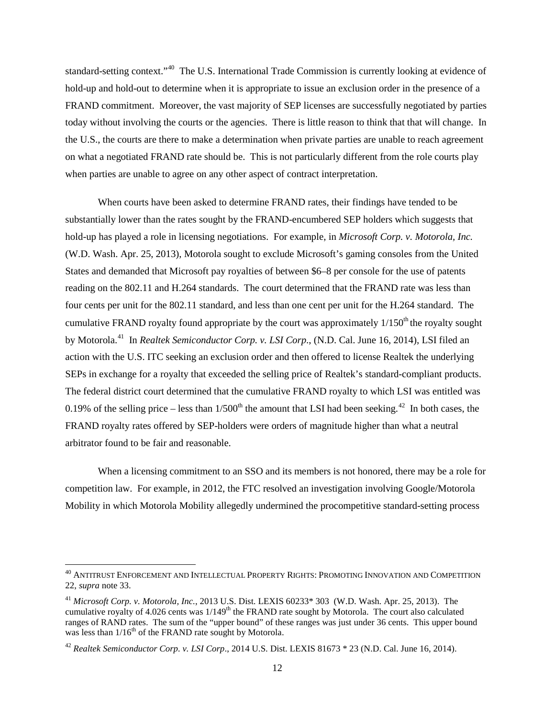standard-setting context."<sup>[40](#page-11-0)</sup> The U.S. International Trade Commission is currently looking at evidence of hold-up and hold-out to determine when it is appropriate to issue an exclusion order in the presence of a FRAND commitment. Moreover, the vast majority of SEP licenses are successfully negotiated by parties today without involving the courts or the agencies. There is little reason to think that that will change. In the U.S., the courts are there to make a determination when private parties are unable to reach agreement on what a negotiated FRAND rate should be. This is not particularly different from the role courts play when parties are unable to agree on any other aspect of contract interpretation.

When courts have been asked to determine FRAND rates, their findings have tended to be substantially lower than the rates sought by the FRAND-encumbered SEP holders which suggests that hold-up has played a role in licensing negotiations. For example, in *Microsoft Corp. v. Motorola, Inc.*  (W.D. Wash. Apr. 25, 2013), Motorola sought to exclude Microsoft's gaming consoles from the United States and demanded that Microsoft pay royalties of between \$6–8 per console for the use of patents reading on the 802.11 and H.264 standards. The court determined that the FRAND rate was less than four cents per unit for the 802.11 standard, and less than one cent per unit for the H.264 standard. The cumulative FRAND royalty found appropriate by the court was approximately  $1/150<sup>th</sup>$  the royalty sought by Motorola.[41](#page-11-1) In *Realtek Semiconductor Corp. v. LSI Corp*., (N.D. Cal. June 16, 2014), LSI filed an action with the U.S. ITC seeking an exclusion order and then offered to license Realtek the underlying SEPs in exchange for a royalty that exceeded the selling price of Realtek's standard-compliant products. The federal district court determined that the cumulative FRAND royalty to which LSI was entitled was 0.19% of the selling price – less than  $1/500<sup>th</sup>$  the amount that LSI had been seeking.<sup>42</sup> In both cases, the FRAND royalty rates offered by SEP-holders were orders of magnitude higher than what a neutral arbitrator found to be fair and reasonable.

When a licensing commitment to an SSO and its members is not honored, there may be a role for competition law. For example, in 2012, the FTC resolved an investigation involving Google/Motorola Mobility in which Motorola Mobility allegedly undermined the procompetitive standard-setting process

<span id="page-11-0"></span> $^{40}$  ANTITRUST ENFORCEMENT AND INTELLECTUAL PROPERTY RIGHTS: PROMOTING INNOVATION AND COMPETITION 22, *supra* note 33.

<span id="page-11-1"></span><sup>41</sup> *Microsoft Corp. v. Motorola, Inc.*, 2013 U.S. Dist. LEXIS 60233\* 303 (W.D. Wash. Apr. 25, 2013). The cumulative royalty of 4.026 cents was 1/149<sup>th</sup> the FRAND rate sought by Motorola. The court also calculated ranges of RAND rates. The sum of the "upper bound" of these ranges was just under 36 cents. This upper bound was less than  $1/16^{th}$  of the FRAND rate sought by Motorola.

<span id="page-11-2"></span><sup>42</sup> *Realtek Semiconductor Corp. v. LSI Corp*., 2014 U.S. Dist. LEXIS 81673 \* 23 (N.D. Cal. June 16, 2014).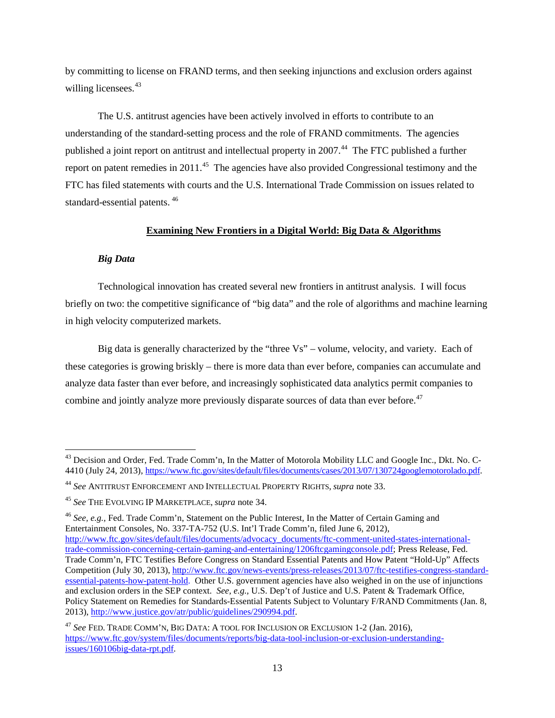by committing to license on FRAND terms, and then seeking injunctions and exclusion orders against willing licensees.<sup>[43](#page-12-0)</sup>

The U.S. antitrust agencies have been actively involved in efforts to contribute to an understanding of the standard-setting process and the role of FRAND commitments. The agencies published a joint report on antitrust and intellectual property in 2007.<sup>[44](#page-12-1)</sup> The FTC published a further report on patent remedies in 2011.<sup>[45](#page-12-2)</sup> The agencies have also provided Congressional testimony and the FTC has filed statements with courts and the U.S. International Trade Commission on issues related to standard-essential patents. [46](#page-12-3)

### **Examining New Frontiers in a Digital World: Big Data & Algorithms**

## *Big Data*

Technological innovation has created several new frontiers in antitrust analysis. I will focus briefly on two: the competitive significance of "big data" and the role of algorithms and machine learning in high velocity computerized markets.

Big data is generally characterized by the "three Vs" – volume, velocity, and variety. Each of these categories is growing briskly – there is more data than ever before, companies can accumulate and analyze data faster than ever before, and increasingly sophisticated data analytics permit companies to combine and jointly analyze more previously disparate sources of data than ever before.<sup>[47](#page-12-4)</sup>

<span id="page-12-3"></span><sup>46</sup> *See, e.g.,* Fed. Trade Comm'n, Statement on the Public Interest, In the Matter of Certain Gaming and Entertainment Consoles, No. 337-TA-752 (U.S. Int'l Trade Comm'n, filed June 6, 2012), [http://www.ftc.gov/sites/default/files/documents/advocacy\\_documents/ftc-comment-united-states-international-](http://www.ftc.gov/sites/default/files/documents/advocacy_documents/ftc-comment-united-states-international-trade-commission-concerning-certain-gaming-and-entertaining/1206ftcgamingconsole.pdf)

<span id="page-12-0"></span><sup>&</sup>lt;sup>43</sup> Decision and Order, Fed. Trade Comm'n, In the Matter of Motorola Mobility LLC and Google Inc., Dkt. No. C-4410 (July 24, 2013), [https://www.ftc.gov/sites/default/files/documents/cases/2013/07/130724googlemotorolado.pdf.](https://www.ftc.gov/sites/default/files/documents/cases/2013/07/130724googlemotorolado.pdf)

<span id="page-12-1"></span><sup>44</sup> *See* ANTITRUST ENFORCEMENT AND INTELLECTUAL PROPERTY RIGHTS, *supra* note 33.

<span id="page-12-2"></span><sup>45</sup> *See* THE EVOLVING IP MARKETPLACE, *supra* note 34.

[trade-commission-concerning-certain-gaming-and-entertaining/1206ftcgamingconsole.pdf;](http://www.ftc.gov/sites/default/files/documents/advocacy_documents/ftc-comment-united-states-international-trade-commission-concerning-certain-gaming-and-entertaining/1206ftcgamingconsole.pdf) Press Release, Fed. Trade Comm'n, FTC Testifies Before Congress on Standard Essential Patents and How Patent "Hold-Up" Affects Competition (July 30, 2013), [http://www.ftc.gov/news-events/press-releases/2013/07/ftc-testifies-congress-standard](http://www.ftc.gov/news-events/press-releases/2013/07/ftc-testifies-congress-standard-essential-patents-how-patent-hold)[essential-patents-how-patent-hold.](http://www.ftc.gov/news-events/press-releases/2013/07/ftc-testifies-congress-standard-essential-patents-how-patent-hold) Other U.S. government agencies have also weighed in on the use of injunctions and exclusion orders in the SEP context. *See, e.g.,* U.S. Dep't of Justice and U.S. Patent & Trademark Office, Policy Statement on Remedies for Standards-Essential Patents Subject to Voluntary F/RAND Commitments (Jan. 8, 2013), [http://www.justice.gov/atr/public/guidelines/290994.pdf.](http://www.justice.gov/atr/public/guidelines/290994.pdf)

<span id="page-12-4"></span><sup>47</sup> *See* FED. TRADE COMM'N, BIG DATA: A TOOL FOR INCLUSION OR EXCLUSION 1-2 (Jan. 2016), [https://www.ftc.gov/system/files/documents/reports/big-data-tool-inclusion-or-exclusion-understanding](https://www.ftc.gov/system/files/documents/reports/big-data-tool-inclusion-or-exclusion-understanding-issues/160106big-data-rpt.pdf)[issues/160106big-data-rpt.pdf.](https://www.ftc.gov/system/files/documents/reports/big-data-tool-inclusion-or-exclusion-understanding-issues/160106big-data-rpt.pdf)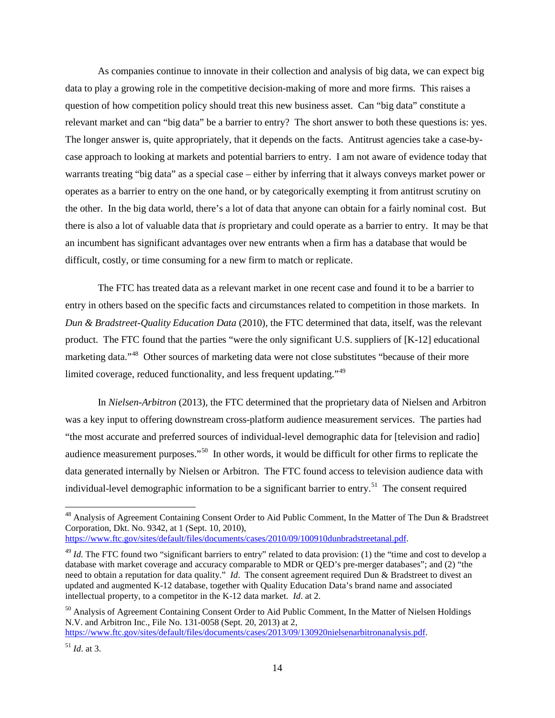As companies continue to innovate in their collection and analysis of big data, we can expect big data to play a growing role in the competitive decision-making of more and more firms. This raises a question of how competition policy should treat this new business asset. Can "big data" constitute a relevant market and can "big data" be a barrier to entry? The short answer to both these questions is: yes. The longer answer is, quite appropriately, that it depends on the facts. Antitrust agencies take a case-bycase approach to looking at markets and potential barriers to entry. I am not aware of evidence today that warrants treating "big data" as a special case – either by inferring that it always conveys market power or operates as a barrier to entry on the one hand, or by categorically exempting it from antitrust scrutiny on the other. In the big data world, there's a lot of data that anyone can obtain for a fairly nominal cost. But there is also a lot of valuable data that *is* proprietary and could operate as a barrier to entry. It may be that an incumbent has significant advantages over new entrants when a firm has a database that would be difficult, costly, or time consuming for a new firm to match or replicate.

The FTC has treated data as a relevant market in one recent case and found it to be a barrier to entry in others based on the specific facts and circumstances related to competition in those markets. In *Dun & Bradstreet-Quality Education Data* (2010), the FTC determined that data, itself, was the relevant product. The FTC found that the parties "were the only significant U.S. suppliers of [K-12] educational marketing data."<sup>48</sup> Other sources of marketing data were not close substitutes "because of their more limited coverage, reduced functionality, and less frequent updating."<sup>[49](#page-13-1)</sup>

In *Nielsen-Arbitron* (2013), the FTC determined that the proprietary data of Nielsen and Arbitron was a key input to offering downstream cross-platform audience measurement services. The parties had "the most accurate and preferred sources of individual-level demographic data for [television and radio] audience measurement purposes."[50](#page-13-2) In other words, it would be difficult for other firms to replicate the data generated internally by Nielsen or Arbitron. The FTC found access to television audience data with individual-level demographic information to be a significant barrier to entry.<sup>51</sup> The consent required

<span id="page-13-0"></span><sup>&</sup>lt;sup>48</sup> Analysis of Agreement Containing Consent Order to Aid Public Comment, In the Matter of The Dun & Bradstreet Corporation, Dkt. No. 9342, at 1 (Sept. 10, 2010),

[https://www.ftc.gov/sites/default/files/documents/cases/2010/09/100910dunbradstreetanal.pdf.](https://www.ftc.gov/sites/default/files/documents/cases/2010/09/100910dunbradstreetanal.pdf)

<span id="page-13-1"></span><sup>&</sup>lt;sup>49</sup> *Id.* The FTC found two "significant barriers to entry" related to data provision: (1) the "time and cost to develop a database with market coverage and accuracy comparable to MDR or QED's pre-merger databases"; and (2) "the need to obtain a reputation for data quality." *Id*. The consent agreement required Dun & Bradstreet to divest an updated and augmented K-12 database, together with Quality Education Data's brand name and associated intellectual property, to a competitor in the K-12 data market. *Id*. at 2.

<span id="page-13-2"></span><sup>&</sup>lt;sup>50</sup> Analysis of Agreement Containing Consent Order to Aid Public Comment, In the Matter of Nielsen Holdings N.V. and Arbitron Inc., File No. 131-0058 (Sept. 20, 2013) at 2, [https://www.ftc.gov/sites/default/files/documents/cases/2013/09/130920nielsenarbitronanalysis.pdf.](https://www.ftc.gov/sites/default/files/documents/cases/2013/09/130920nielsenarbitronanalysis.pdf)

<span id="page-13-3"></span><sup>51</sup> *Id*. at 3.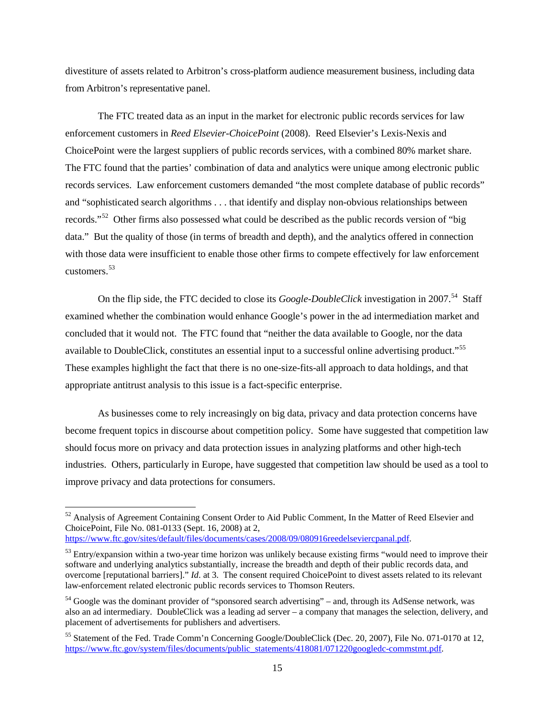divestiture of assets related to Arbitron's cross-platform audience measurement business, including data from Arbitron's representative panel.

The FTC treated data as an input in the market for electronic public records services for law enforcement customers in *Reed Elsevier-ChoicePoint* (2008). Reed Elsevier's Lexis-Nexis and ChoicePoint were the largest suppliers of public records services, with a combined 80% market share. The FTC found that the parties' combination of data and analytics were unique among electronic public records services. Law enforcement customers demanded "the most complete database of public records" and "sophisticated search algorithms . . . that identify and display non-obvious relationships between records."[52](#page-14-0) Other firms also possessed what could be described as the public records version of "big data." But the quality of those (in terms of breadth and depth), and the analytics offered in connection with those data were insufficient to enable those other firms to compete effectively for law enforcement customers.[53](#page-14-1)

On the flip side, the FTC decided to close its *Google-DoubleClick* investigation in 2007.<sup>54</sup> Staff examined whether the combination would enhance Google's power in the ad intermediation market and concluded that it would not. The FTC found that "neither the data available to Google, nor the data available to DoubleClick, constitutes an essential input to a successful online advertising product."[55](#page-14-3)  These examples highlight the fact that there is no one-size-fits-all approach to data holdings, and that appropriate antitrust analysis to this issue is a fact-specific enterprise.

As businesses come to rely increasingly on big data, privacy and data protection concerns have become frequent topics in discourse about competition policy. Some have suggested that competition law should focus more on privacy and data protection issues in analyzing platforms and other high-tech industries. Others, particularly in Europe, have suggested that competition law should be used as a tool to improve privacy and data protections for consumers.

<span id="page-14-0"></span><sup>&</sup>lt;sup>52</sup> Analysis of Agreement Containing Consent Order to Aid Public Comment, In the Matter of Reed Elsevier and ChoicePoint, File No. 081-0133 (Sept. 16, 2008) at 2,

[https://www.ftc.gov/sites/default/files/documents/cases/2008/09/080916reedelseviercpanal.pdf.](https://www.ftc.gov/sites/default/files/documents/cases/2008/09/080916reedelseviercpanal.pdf)

<span id="page-14-1"></span> $53$  Entry/expansion within a two-year time horizon was unlikely because existing firms "would need to improve their software and underlying analytics substantially, increase the breadth and depth of their public records data, and overcome [reputational barriers]." *Id*. at 3. The consent required ChoicePoint to divest assets related to its relevant law-enforcement related electronic public records services to Thomson Reuters.

<span id="page-14-2"></span><sup>&</sup>lt;sup>54</sup> Google was the dominant provider of "sponsored search advertising" – and, through its AdSense network, was also an ad intermediary. DoubleClick was a leading ad server – a company that manages the selection, delivery, and placement of advertisements for publishers and advertisers.

<span id="page-14-3"></span><sup>55</sup> Statement of the Fed. Trade Comm'n Concerning Google/DoubleClick (Dec. 20, 2007), File No. 071-0170 at 12, [https://www.ftc.gov/system/files/documents/public\\_statements/418081/071220googledc-commstmt.pdf.](https://www.ftc.gov/system/files/documents/public_statements/418081/071220googledc-commstmt.pdf)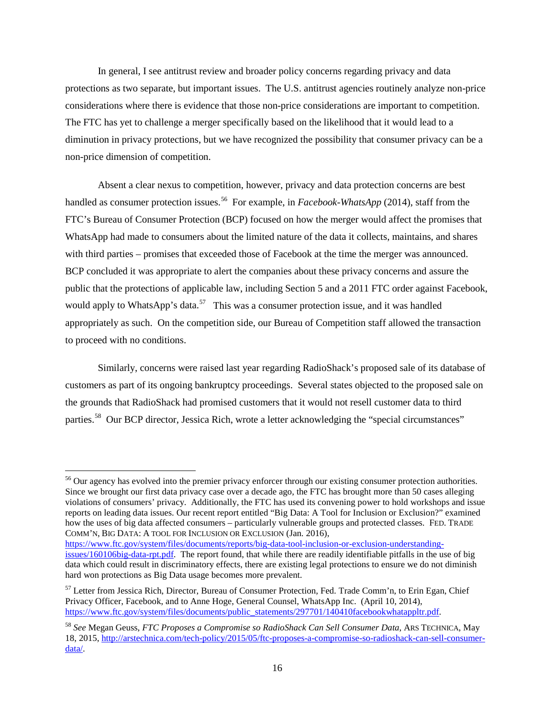In general, I see antitrust review and broader policy concerns regarding privacy and data protections as two separate, but important issues. The U.S. antitrust agencies routinely analyze non-price considerations where there is evidence that those non-price considerations are important to competition. The FTC has yet to challenge a merger specifically based on the likelihood that it would lead to a diminution in privacy protections, but we have recognized the possibility that consumer privacy can be a non-price dimension of competition.

Absent a clear nexus to competition, however, privacy and data protection concerns are best handled as consumer protection issues.<sup>56</sup> For example, in *Facebook-WhatsApp* (2014), staff from the FTC's Bureau of Consumer Protection (BCP) focused on how the merger would affect the promises that WhatsApp had made to consumers about the limited nature of the data it collects, maintains, and shares with third parties – promises that exceeded those of Facebook at the time the merger was announced. BCP concluded it was appropriate to alert the companies about these privacy concerns and assure the public that the protections of applicable law, including Section 5 and a 2011 FTC order against Facebook, would apply to WhatsApp's data.<sup>[57](#page-15-1)</sup> This was a consumer protection issue, and it was handled appropriately as such. On the competition side, our Bureau of Competition staff allowed the transaction to proceed with no conditions.

Similarly, concerns were raised last year regarding RadioShack's proposed sale of its database of customers as part of its ongoing bankruptcy proceedings. Several states objected to the proposed sale on the grounds that RadioShack had promised customers that it would not resell customer data to third parties.<sup>58</sup> Our BCP director, Jessica Rich, wrote a letter acknowledging the "special circumstances"

[https://www.ftc.gov/system/files/documents/reports/big-data-tool-inclusion-or-exclusion-understanding](https://www.ftc.gov/system/files/documents/reports/big-data-tool-inclusion-or-exclusion-understanding-issues/160106big-data-rpt.pdf)[issues/160106big-data-rpt.pdf.](https://www.ftc.gov/system/files/documents/reports/big-data-tool-inclusion-or-exclusion-understanding-issues/160106big-data-rpt.pdf) The report found, that while there are readily identifiable pitfalls in the use of big

<span id="page-15-0"></span><sup>&</sup>lt;sup>56</sup> Our agency has evolved into the premier privacy enforcer through our existing consumer protection authorities. Since we brought our first data privacy case over a decade ago, the FTC has brought more than 50 cases alleging violations of consumers' privacy. Additionally, the FTC has used its convening power to hold workshops and issue reports on leading data issues. Our recent report entitled "Big Data: A Tool for Inclusion or Exclusion?" examined how the uses of big data affected consumers – particularly vulnerable groups and protected classes. FED. TRADE COMM'N, BIG DATA: A TOOL FOR INCLUSION OR EXCLUSION (Jan. 2016),

data which could result in discriminatory effects, there are existing legal protections to ensure we do not diminish hard won protections as Big Data usage becomes more prevalent.

<span id="page-15-1"></span><sup>&</sup>lt;sup>57</sup> Letter from Jessica Rich, Director, Bureau of Consumer Protection, Fed. Trade Comm'n, to Erin Egan, Chief Privacy Officer, Facebook, and to Anne Hoge, General Counsel, WhatsApp Inc. (April 10, 2014), [https://www.ftc.gov/system/files/documents/public\\_statements/297701/140410facebookwhatappltr.pdf.](https://www.ftc.gov/system/files/documents/public_statements/297701/140410facebookwhatappltr.pdf)

<span id="page-15-2"></span><sup>58</sup> *See* Megan Geuss, *FTC Proposes a Compromise so RadioShack Can Sell Consumer Data*, ARS TECHNICA, May 18, 2015, [http://arstechnica.com/tech-policy/2015/05/ftc-proposes-a-compromise-so-radioshack-can-sell-consumer](http://arstechnica.com/tech-policy/2015/05/ftc-proposes-a-compromise-so-radioshack-can-sell-consumer-data/)[data/.](http://arstechnica.com/tech-policy/2015/05/ftc-proposes-a-compromise-so-radioshack-can-sell-consumer-data/)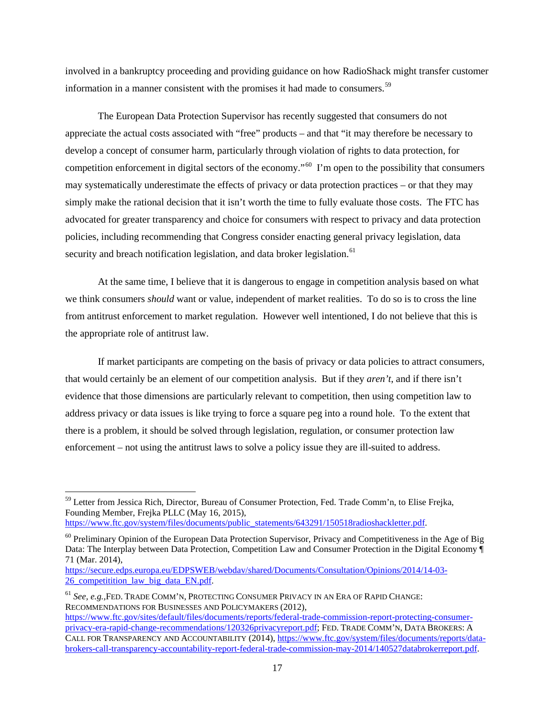involved in a bankruptcy proceeding and providing guidance on how RadioShack might transfer customer information in a manner consistent with the promises it had made to consumers.<sup>[59](#page-16-0)</sup>

The European Data Protection Supervisor has recently suggested that consumers do not appreciate the actual costs associated with "free" products – and that "it may therefore be necessary to develop a concept of consumer harm, particularly through violation of rights to data protection, for competition enforcement in digital sectors of the economy."[60](#page-16-1) I'm open to the possibility that consumers may systematically underestimate the effects of privacy or data protection practices – or that they may simply make the rational decision that it isn't worth the time to fully evaluate those costs. The FTC has advocated for greater transparency and choice for consumers with respect to privacy and data protection policies, including recommending that Congress consider enacting general privacy legislation, data security and breach notification legislation, and data broker legislation.<sup>[61](#page-16-2)</sup>

At the same time, I believe that it is dangerous to engage in competition analysis based on what we think consumers *should* want or value, independent of market realities. To do so is to cross the line from antitrust enforcement to market regulation. However well intentioned, I do not believe that this is the appropriate role of antitrust law.

If market participants are competing on the basis of privacy or data policies to attract consumers, that would certainly be an element of our competition analysis. But if they *aren't*, and if there isn't evidence that those dimensions are particularly relevant to competition, then using competition law to address privacy or data issues is like trying to force a square peg into a round hole. To the extent that there is a problem, it should be solved through legislation, regulation, or consumer protection law enforcement – not using the antitrust laws to solve a policy issue they are ill-suited to address.

<span id="page-16-2"></span><sup>61</sup> *See, e.g.,*FED. TRADE COMM'N, PROTECTING CONSUMER PRIVACY IN AN ERA OF RAPID CHANGE: RECOMMENDATIONS FOR BUSINESSES AND POLICYMAKERS (2012),

<span id="page-16-0"></span> <sup>59</sup> Letter from Jessica Rich, Director, Bureau of Consumer Protection, Fed. Trade Comm'n, to Elise Frejka, Founding Member, Frejka PLLC (May 16, 2015),

[https://www.ftc.gov/system/files/documents/public\\_statements/643291/150518radioshackletter.pdf.](https://www.ftc.gov/system/files/documents/public_statements/643291/150518radioshackletter.pdf)

<span id="page-16-1"></span> $60$  Preliminary Opinion of the European Data Protection Supervisor, Privacy and Competitiveness in the Age of Big Data: The Interplay between Data Protection, Competition Law and Consumer Protection in the Digital Economy ¶ 71 (Mar. 2014),

[https://secure.edps.europa.eu/EDPSWEB/webdav/shared/Documents/Consultation/Opinions/2014/14-03-](https://secure.edps.europa.eu/EDPSWEB/webdav/shared/Documents/Consultation/Opinions/2014/14-03-26_competitition_law_big_data_EN.pdf) 26<sup>c</sup>competitition law big data EN.pdf.

[https://www.ftc.gov/sites/default/files/documents/reports/federal-trade-commission-report-protecting-consumer](https://www.ftc.gov/sites/default/files/documents/reports/federal-trade-commission-report-protecting-consumer-privacy-era-rapid-change-recommendations/120326privacyreport.pdf)[privacy-era-rapid-change-recommendations/120326privacyreport.pdf;](https://www.ftc.gov/sites/default/files/documents/reports/federal-trade-commission-report-protecting-consumer-privacy-era-rapid-change-recommendations/120326privacyreport.pdf) FED. TRADE COMM'N, DATA BROKERS: A CALL FOR TRANSPARENCY AND ACCOUNTABILITY (2014), [https://www.ftc.gov/system/files/documents/reports/data](https://www.ftc.gov/system/files/documents/reports/data-brokers-call-transparency-accountability-report-federal-trade-commission-may-2014/140527databrokerreport.pdf)[brokers-call-transparency-accountability-report-federal-trade-commission-may-2014/140527databrokerreport.pdf.](https://www.ftc.gov/system/files/documents/reports/data-brokers-call-transparency-accountability-report-federal-trade-commission-may-2014/140527databrokerreport.pdf)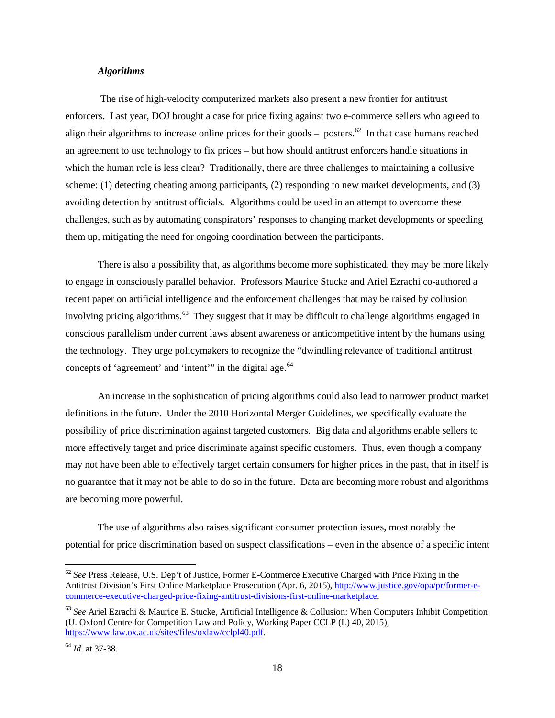#### *Algorithms*

The rise of high-velocity computerized markets also present a new frontier for antitrust enforcers. Last year, DOJ brought a case for price fixing against two e-commerce sellers who agreed to align their algorithms to increase online prices for their goods – posters.<sup>62</sup> In that case humans reached an agreement to use technology to fix prices – but how should antitrust enforcers handle situations in which the human role is less clear? Traditionally, there are three challenges to maintaining a collusive scheme: (1) detecting cheating among participants, (2) responding to new market developments, and (3) avoiding detection by antitrust officials. Algorithms could be used in an attempt to overcome these challenges, such as by automating conspirators' responses to changing market developments or speeding them up, mitigating the need for ongoing coordination between the participants.

There is also a possibility that, as algorithms become more sophisticated, they may be more likely to engage in consciously parallel behavior. Professors Maurice Stucke and Ariel Ezrachi co-authored a recent paper on artificial intelligence and the enforcement challenges that may be raised by collusion involving pricing algorithms.<sup>[63](#page-17-1)</sup> They suggest that it may be difficult to challenge algorithms engaged in conscious parallelism under current laws absent awareness or anticompetitive intent by the humans using the technology. They urge policymakers to recognize the "dwindling relevance of traditional antitrust concepts of 'agreement' and 'intent'" in the digital age.<sup>[64](#page-17-2)</sup>

An increase in the sophistication of pricing algorithms could also lead to narrower product market definitions in the future. Under the 2010 Horizontal Merger Guidelines, we specifically evaluate the possibility of price discrimination against targeted customers. Big data and algorithms enable sellers to more effectively target and price discriminate against specific customers. Thus, even though a company may not have been able to effectively target certain consumers for higher prices in the past, that in itself is no guarantee that it may not be able to do so in the future. Data are becoming more robust and algorithms are becoming more powerful.

The use of algorithms also raises significant consumer protection issues, most notably the potential for price discrimination based on suspect classifications – even in the absence of a specific intent

<span id="page-17-0"></span> <sup>62</sup> *See* Press Release, U.S. Dep't of Justice, Former E-Commerce Executive Charged with Price Fixing in the Antitrust Division's First Online Marketplace Prosecution (Apr. 6, 2015), [http://www.justice.gov/opa/pr/former-e](http://www.justice.gov/opa/pr/former-e-commerce-executive-charged-price-fixing-antitrust-divisions-first-online-marketplace)[commerce-executive-charged-price-fixing-antitrust-divisions-first-online-marketplace.](http://www.justice.gov/opa/pr/former-e-commerce-executive-charged-price-fixing-antitrust-divisions-first-online-marketplace)

<span id="page-17-1"></span><sup>63</sup> *See* Ariel Ezrachi & Maurice E. Stucke, Artificial Intelligence & Collusion: When Computers Inhibit Competition (U. Oxford Centre for Competition Law and Policy, Working Paper CCLP (L) 40, 2015), [https://www.law.ox.ac.uk/sites/files/oxlaw/cclpl40.pdf.](https://www.law.ox.ac.uk/sites/files/oxlaw/cclpl40.pdf)

<span id="page-17-2"></span><sup>64</sup> *Id*. at 37-38.